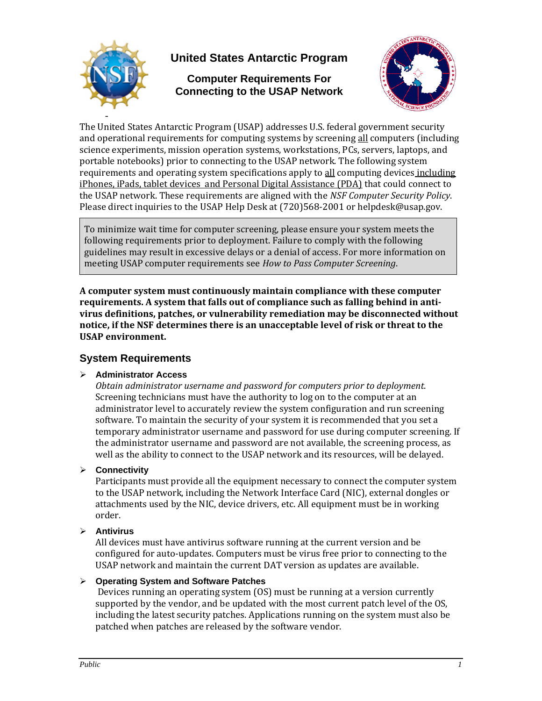

# **United States Antarctic Program**

**Computer Requirements For Connecting to the USAP Network** 



The United States Antarctic Program (USAP) addresses U.S. federal government security and operational requirements for computing systems by screening all computers (including science experiments, mission operation systems, workstations, PCs, servers, laptops, and portable notebooks) prior to connecting to the USAP network. The following system requirements and operating system specifications apply to all computing devices including iPhones, iPads, tablet devices and Personal Digital Assistance (PDA) that could connect to the USAP network. These requirements are aligned with the *NSF Computer Security Policy*. Please direct inquiries to the USAP Help Desk at (720)568‐2001 or helpdesk@usap.gov.

To minimize wait time for computer screening, please ensure your system meets the following requirements prior to deployment. Failure to comply with the following guidelines may result in excessive delays or a denial of access. For more information on meeting USAP computer requirements see *How to Pass Computer Screening*.

**A computer system must continuously maintain compliance with these computer requirements. A system that falls out of compliance such as falling behind in antivirus definitions, patches, or vulnerability remediation may be disconnected without notice, if the NSF determines there is an unacceptable level of risk or threat to the USAP environment.**

## **System Requirements**

#### ¾ **Administrator Access**

*Obtain administrator username and password for computers prior to deployment*. Screening technicians must have the authority to log on to the computer at an administrator level to accurately review the system configuration and run screening software. To maintain the security of your system it is recommended that you set a temporary administrator username and password for use during computer screening. If the administrator username and password are not available, the screening process, as well as the ability to connect to the USAP network and its resources, will be delayed.

#### ¾ **Connectivity**

Participants must provide all the equipment necessary to connect the computer system to the USAP network, including the Network Interface Card (NIC), external dongles or attachments used by the NIC, device drivers, etc. All equipment must be in working order.

#### ¾ **Antivirus**

All devices must have antivirus software running at the current version and be configured for auto‐updates. Computers must be virus free prior to connecting to the USAP network and maintain the current DAT version as updates are available.

#### ¾ **Operating System and Software Patches**

 Devices running an operating system (OS) must be running at a version currently supported by the vendor, and be updated with the most current patch level of the OS, including the latest security patches. Applications running on the system must also be patched when patches are released by the software vendor.